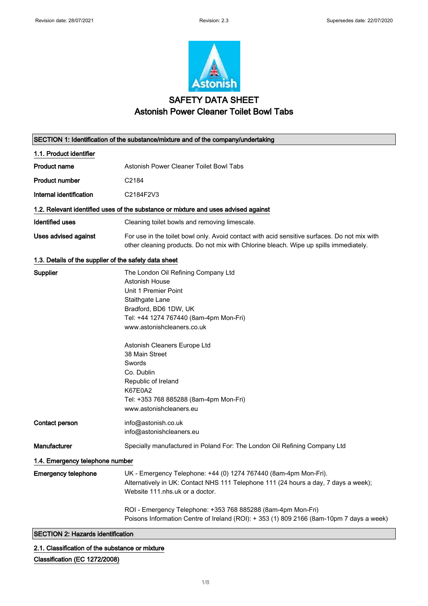

# SAFETY DATA SHEET Astonish Power Cleaner Toilet Bowl Tabs

|                                                       | SECTION 1: Identification of the substance/mixture and of the company/undertaking                                                                                                                                                                                                                                                                                                  |  |
|-------------------------------------------------------|------------------------------------------------------------------------------------------------------------------------------------------------------------------------------------------------------------------------------------------------------------------------------------------------------------------------------------------------------------------------------------|--|
| 1.1. Product identifier                               |                                                                                                                                                                                                                                                                                                                                                                                    |  |
| <b>Product name</b>                                   | Astonish Power Cleaner Toilet Bowl Tabs                                                                                                                                                                                                                                                                                                                                            |  |
| <b>Product number</b>                                 | C2184                                                                                                                                                                                                                                                                                                                                                                              |  |
| Internal identification                               | C2184F2V3                                                                                                                                                                                                                                                                                                                                                                          |  |
|                                                       | 1.2. Relevant identified uses of the substance or mixture and uses advised against                                                                                                                                                                                                                                                                                                 |  |
| <b>Identified uses</b>                                | Cleaning toilet bowls and removing limescale.                                                                                                                                                                                                                                                                                                                                      |  |
| <b>Uses advised against</b>                           | For use in the toilet bowl only. Avoid contact with acid sensitive surfaces. Do not mix with<br>other cleaning products. Do not mix with Chlorine bleach. Wipe up spills immediately.                                                                                                                                                                                              |  |
| 1.3. Details of the supplier of the safety data sheet |                                                                                                                                                                                                                                                                                                                                                                                    |  |
| Supplier                                              | The London Oil Refining Company Ltd<br>Astonish House<br>Unit 1 Premier Point<br>Staithgate Lane<br>Bradford, BD6 1DW, UK<br>Tel: +44 1274 767440 (8am-4pm Mon-Fri)<br>www.astonishcleaners.co.uk<br>Astonish Cleaners Europe Ltd<br>38 Main Street<br>Swords<br>Co. Dublin<br>Republic of Ireland<br>K67E0A2<br>Tel: +353 768 885288 (8am-4pm Mon-Fri)<br>www.astonishcleaners.eu |  |
| Contact person                                        | info@astonish.co.uk<br>info@astonishcleaners.eu                                                                                                                                                                                                                                                                                                                                    |  |
| Manufacturer                                          | Specially manufactured in Poland For: The London Oil Refining Company Ltd                                                                                                                                                                                                                                                                                                          |  |
| 1.4. Emergency telephone number                       |                                                                                                                                                                                                                                                                                                                                                                                    |  |
| <b>Emergency telephone</b>                            | UK - Emergency Telephone: +44 (0) 1274 767440 (8am-4pm Mon-Fri).<br>Alternatively in UK: Contact NHS 111 Telephone 111 (24 hours a day, 7 days a week);<br>Website 111 nhs uk or a doctor.                                                                                                                                                                                         |  |
|                                                       | ROI - Emergency Telephone: +353 768 885288 (8am-4pm Mon-Fri)<br>Poisons Information Centre of Ireland (ROI): + 353 (1) 809 2166 (8am-10pm 7 days a week)                                                                                                                                                                                                                           |  |
| <b>SECTION 2: Hazards identification</b>              |                                                                                                                                                                                                                                                                                                                                                                                    |  |

2.1. Classification of the substance or mixture

## Classification (EC 1272/2008)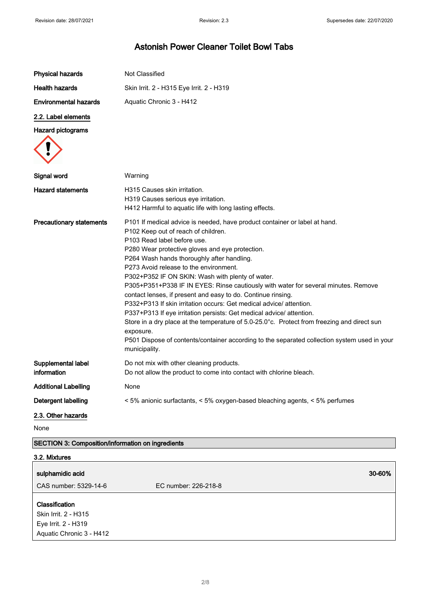| <b>Physical hazards</b>           | Not Classified                                                                                                                                                                                                                                                                                                                                                                                                                                                                                                                                                                                                                                                                                                                                                                                                                                                                   |
|-----------------------------------|----------------------------------------------------------------------------------------------------------------------------------------------------------------------------------------------------------------------------------------------------------------------------------------------------------------------------------------------------------------------------------------------------------------------------------------------------------------------------------------------------------------------------------------------------------------------------------------------------------------------------------------------------------------------------------------------------------------------------------------------------------------------------------------------------------------------------------------------------------------------------------|
| <b>Health hazards</b>             | Skin Irrit. 2 - H315 Eye Irrit. 2 - H319                                                                                                                                                                                                                                                                                                                                                                                                                                                                                                                                                                                                                                                                                                                                                                                                                                         |
| <b>Environmental hazards</b>      | Aquatic Chronic 3 - H412                                                                                                                                                                                                                                                                                                                                                                                                                                                                                                                                                                                                                                                                                                                                                                                                                                                         |
| 2.2. Label elements               |                                                                                                                                                                                                                                                                                                                                                                                                                                                                                                                                                                                                                                                                                                                                                                                                                                                                                  |
| <b>Hazard pictograms</b>          |                                                                                                                                                                                                                                                                                                                                                                                                                                                                                                                                                                                                                                                                                                                                                                                                                                                                                  |
| Signal word                       | Warning                                                                                                                                                                                                                                                                                                                                                                                                                                                                                                                                                                                                                                                                                                                                                                                                                                                                          |
| <b>Hazard statements</b>          | H315 Causes skin irritation.<br>H319 Causes serious eye irritation.<br>H412 Harmful to aquatic life with long lasting effects.                                                                                                                                                                                                                                                                                                                                                                                                                                                                                                                                                                                                                                                                                                                                                   |
| <b>Precautionary statements</b>   | P101 If medical advice is needed, have product container or label at hand.<br>P102 Keep out of reach of children.<br>P103 Read label before use.<br>P280 Wear protective gloves and eye protection.<br>P264 Wash hands thoroughly after handling.<br>P273 Avoid release to the environment.<br>P302+P352 IF ON SKIN: Wash with plenty of water.<br>P305+P351+P338 IF IN EYES: Rinse cautiously with water for several minutes. Remove<br>contact lenses, if present and easy to do. Continue rinsing.<br>P332+P313 If skin irritation occurs: Get medical advice/attention.<br>P337+P313 If eye irritation persists: Get medical advice/ attention.<br>Store in a dry place at the temperature of 5.0-25.0°c. Protect from freezing and direct sun<br>exposure.<br>P501 Dispose of contents/container according to the separated collection system used in your<br>municipality. |
| Supplemental label<br>information | Do not mix with other cleaning products.<br>Do not allow the product to come into contact with chlorine bleach.                                                                                                                                                                                                                                                                                                                                                                                                                                                                                                                                                                                                                                                                                                                                                                  |
| <b>Additional Labelling</b>       | None                                                                                                                                                                                                                                                                                                                                                                                                                                                                                                                                                                                                                                                                                                                                                                                                                                                                             |
| Detergent labelling               | < 5% anionic surfactants, < 5% oxygen-based bleaching agents, < 5% perfumes                                                                                                                                                                                                                                                                                                                                                                                                                                                                                                                                                                                                                                                                                                                                                                                                      |
| 2.3. Other hazards<br>None        |                                                                                                                                                                                                                                                                                                                                                                                                                                                                                                                                                                                                                                                                                                                                                                                                                                                                                  |

## SECTION 3: Composition/information on ingredients

| 3.2. Mixtures                                                                             |                      |  |
|-------------------------------------------------------------------------------------------|----------------------|--|
| sulphamidic acid                                                                          | 30-60%               |  |
| CAS number: 5329-14-6                                                                     | EC number: 226-218-8 |  |
| Classification<br>Skin Irrit. 2 - H315<br>Eye Irrit. 2 - H319<br>Aquatic Chronic 3 - H412 |                      |  |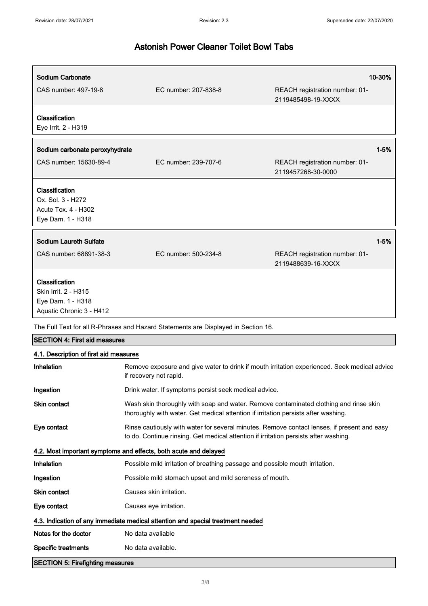| Sodium Carbonate                                                                        |                                                                                                                                                                                     | 10-30%                                                                                       |
|-----------------------------------------------------------------------------------------|-------------------------------------------------------------------------------------------------------------------------------------------------------------------------------------|----------------------------------------------------------------------------------------------|
| CAS number: 497-19-8                                                                    | EC number: 207-838-8                                                                                                                                                                | REACH registration number: 01-<br>2119485498-19-XXXX                                         |
| Classification<br>Eye Irrit. 2 - H319                                                   |                                                                                                                                                                                     |                                                                                              |
| Sodium carbonate peroxyhydrate                                                          |                                                                                                                                                                                     | $1 - 5%$                                                                                     |
| CAS number: 15630-89-4                                                                  | EC number: 239-707-6                                                                                                                                                                | REACH registration number: 01-<br>2119457268-30-0000                                         |
| Classification<br>Ox. Sol. 3 - H272<br>Acute Tox. 4 - H302<br>Eye Dam. 1 - H318         |                                                                                                                                                                                     |                                                                                              |
| <b>Sodium Laureth Sulfate</b>                                                           |                                                                                                                                                                                     | $1 - 5%$                                                                                     |
| CAS number: 68891-38-3                                                                  | EC number: 500-234-8                                                                                                                                                                | REACH registration number: 01-<br>2119488639-16-XXXX                                         |
| Classification<br>Skin Irrit. 2 - H315<br>Eye Dam. 1 - H318<br>Aquatic Chronic 3 - H412 |                                                                                                                                                                                     |                                                                                              |
|                                                                                         | The Full Text for all R-Phrases and Hazard Statements are Displayed in Section 16.                                                                                                  |                                                                                              |
| <b>SECTION 4: First aid measures</b>                                                    |                                                                                                                                                                                     |                                                                                              |
| 4.1. Description of first aid measures                                                  |                                                                                                                                                                                     |                                                                                              |
| Inhalation                                                                              | if recovery not rapid.                                                                                                                                                              | Remove exposure and give water to drink if mouth irritation experienced. Seek medical advice |
| Ingestion                                                                               | Drink water. If symptoms persist seek medical advice.                                                                                                                               |                                                                                              |
| Skin contact                                                                            | Wash skin thoroughly with soap and water. Remove contaminated clothing and rinse skin<br>thoroughly with water. Get medical attention if irritation persists after washing.         |                                                                                              |
| Eye contact                                                                             | Rinse cautiously with water for several minutes. Remove contact lenses, if present and easy<br>to do. Continue rinsing. Get medical attention if irritation persists after washing. |                                                                                              |
|                                                                                         | 4.2. Most important symptoms and effects, both acute and delayed                                                                                                                    |                                                                                              |
| Inhalation                                                                              | Possible mild irritation of breathing passage and possible mouth irritation.                                                                                                        |                                                                                              |
| Ingestion                                                                               | Possible mild stomach upset and mild soreness of mouth.                                                                                                                             |                                                                                              |
| Skin contact                                                                            | Causes skin irritation.                                                                                                                                                             |                                                                                              |
| Eye contact                                                                             | Causes eye irritation.                                                                                                                                                              |                                                                                              |
|                                                                                         | 4.3. Indication of any immediate medical attention and special treatment needed                                                                                                     |                                                                                              |
| Notes for the doctor                                                                    | No data avaliable                                                                                                                                                                   |                                                                                              |
| <b>Specific treatments</b>                                                              | No data available.                                                                                                                                                                  |                                                                                              |
| <b>SECTION 5: Firefighting measures</b>                                                 |                                                                                                                                                                                     |                                                                                              |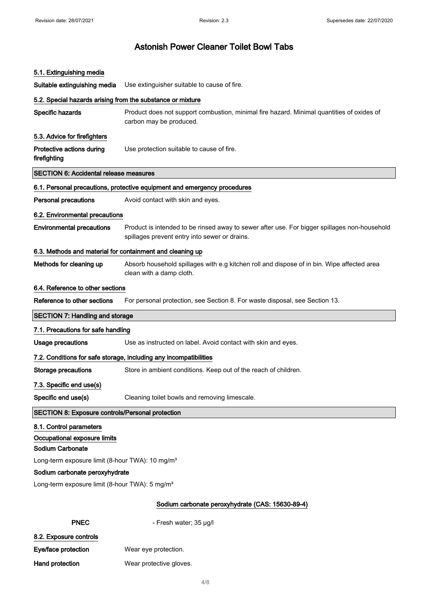## 5.1. Extinguishing media

Suitable extinguishing media Use extinguisher suitable to cause of fire.

| 5.2. Special hazards arising from the substance or mixture  |                                                                                                                                               |
|-------------------------------------------------------------|-----------------------------------------------------------------------------------------------------------------------------------------------|
| Specific hazards                                            | Product does not support combustion, minimal fire hazard. Minimal quantities of oxides of<br>carbon may be produced.                          |
| 5.3. Advice for firefighters                                |                                                                                                                                               |
| Protective actions during<br>firefighting                   | Use protection suitable to cause of fire.                                                                                                     |
| <b>SECTION 6: Accidental release measures</b>               |                                                                                                                                               |
|                                                             | 6.1. Personal precautions, protective equipment and emergency procedures                                                                      |
| <b>Personal precautions</b>                                 | Avoid contact with skin and eyes.                                                                                                             |
| 6.2. Environmental precautions                              |                                                                                                                                               |
| <b>Environmental precautions</b>                            | Product is intended to be rinsed away to sewer after use. For bigger spillages non-household<br>spillages prevent entry into sewer or drains. |
| 6.3. Methods and material for containment and cleaning up   |                                                                                                                                               |
| Methods for cleaning up                                     | Absorb household spillages with e.g kitchen roll and dispose of in bin. Wipe affected area<br>clean with a damp cloth.                        |
| 6.4. Reference to other sections                            |                                                                                                                                               |
| Reference to other sections                                 | For personal protection, see Section 8. For waste disposal, see Section 13.                                                                   |
| <b>SECTION 7: Handling and storage</b>                      |                                                                                                                                               |
| 7.1. Precautions for safe handling                          |                                                                                                                                               |
| <b>Usage precautions</b>                                    | Use as instructed on label. Avoid contact with skin and eyes.                                                                                 |
|                                                             | 7.2. Conditions for safe storage, including any incompatibilities                                                                             |
| <b>Storage precautions</b>                                  | Store in ambient conditions. Keep out of the reach of children.                                                                               |
| 7.3. Specific end use(s)                                    |                                                                                                                                               |
| Specific end use(s)                                         | Cleaning toilet bowls and removing limescale.                                                                                                 |
| <b>SECTION 8: Exposure controls/Personal protection</b>     |                                                                                                                                               |
| 8.1. Control parameters                                     |                                                                                                                                               |
| Occupational exposure limits                                |                                                                                                                                               |
| Sodium Carbonate                                            |                                                                                                                                               |
| Long-term exposure limit (8-hour TWA): 10 mg/m <sup>3</sup> |                                                                                                                                               |
| Sodium carbonate peroxyhydrate                              |                                                                                                                                               |
| Long-term exposure limit (8-hour TWA): 5 mg/m <sup>3</sup>  |                                                                                                                                               |

### Sodium carbonate peroxyhydrate (CAS: 15630-89-4)

|  | <b>PNEC</b> |  |
|--|-------------|--|
|  |             |  |

- Fresh water; 35 μg/l

8.2. Exposure controls Eye/face protection Wear eye protection.

Hand protection Wear protective gloves.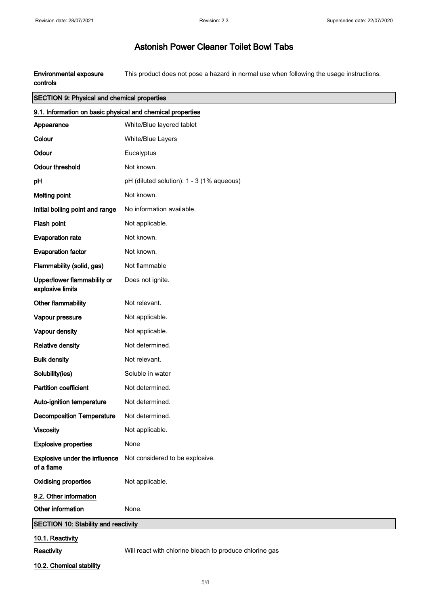Environmental exposure controls This product does not pose a hazard in normal use when following the usage instructions.

## SECTION 9: Physical and chemical properties

| 9.1. Information on basic physical and chemical properties |                                                         |  |
|------------------------------------------------------------|---------------------------------------------------------|--|
| Appearance                                                 | White/Blue layered tablet                               |  |
| Colour                                                     | White/Blue Layers                                       |  |
| Odour                                                      | Eucalyptus                                              |  |
| <b>Odour threshold</b>                                     | Not known.                                              |  |
| pH                                                         | pH (diluted solution): 1 - 3 (1% aqueous)               |  |
| <b>Melting point</b>                                       | Not known.                                              |  |
| Initial boiling point and range                            | No information available.                               |  |
| Flash point                                                | Not applicable.                                         |  |
| <b>Evaporation rate</b>                                    | Not known.                                              |  |
| <b>Evaporation factor</b>                                  | Not known.                                              |  |
| Flammability (solid, gas)                                  | Not flammable                                           |  |
| Upper/lower flammability or<br>explosive limits            | Does not ignite.                                        |  |
| Other flammability                                         | Not relevant.                                           |  |
| Vapour pressure                                            | Not applicable.                                         |  |
| Vapour density                                             | Not applicable.                                         |  |
| <b>Relative density</b>                                    | Not determined.                                         |  |
| <b>Bulk density</b>                                        | Not relevant.                                           |  |
| Solubility(ies)                                            | Soluble in water                                        |  |
| <b>Partition coefficient</b>                               | Not determined.                                         |  |
| Auto-ignition temperature                                  | Not determined.                                         |  |
| <b>Decomposition Temperature</b>                           | Not determined.                                         |  |
| <b>Viscosity</b>                                           | Not applicable.                                         |  |
| <b>Explosive properties</b>                                | None                                                    |  |
| Explosive under the influence<br>of a flame                | Not considered to be explosive.                         |  |
| <b>Oxidising properties</b>                                | Not applicable.                                         |  |
| 9.2. Other information                                     |                                                         |  |
| Other information                                          | None.                                                   |  |
| <b>SECTION 10: Stability and reactivity</b>                |                                                         |  |
| 10.1. Reactivity                                           |                                                         |  |
| Reactivity                                                 | Will react with chlorine bleach to produce chlorine gas |  |

10.2. Chemical stability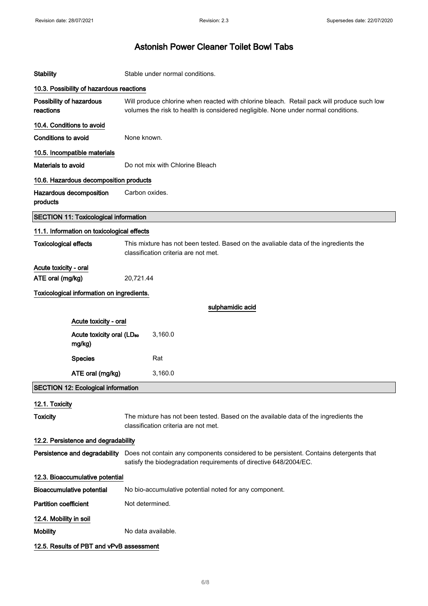| <b>Stability</b>                                | Stable under normal conditions.                                                                                                                                                  |  |  |
|-------------------------------------------------|----------------------------------------------------------------------------------------------------------------------------------------------------------------------------------|--|--|
| 10.3. Possibility of hazardous reactions        |                                                                                                                                                                                  |  |  |
| Possibility of hazardous<br>reactions           | Will produce chlorine when reacted with chlorine bleach. Retail pack will produce such low<br>volumes the risk to health is considered negligible. None under normal conditions. |  |  |
| 10.4. Conditions to avoid                       |                                                                                                                                                                                  |  |  |
| <b>Conditions to avoid</b>                      | None known.                                                                                                                                                                      |  |  |
| 10.5. Incompatible materials                    |                                                                                                                                                                                  |  |  |
| Materials to avoid                              | Do not mix with Chlorine Bleach                                                                                                                                                  |  |  |
| 10.6. Hazardous decomposition products          |                                                                                                                                                                                  |  |  |
| Hazardous decomposition<br>products             | Carbon oxides.                                                                                                                                                                   |  |  |
| <b>SECTION 11: Toxicological information</b>    |                                                                                                                                                                                  |  |  |
| 11.1. Information on toxicological effects      |                                                                                                                                                                                  |  |  |
| <b>Toxicological effects</b>                    | This mixture has not been tested. Based on the avaliable data of the ingredients the<br>classification criteria are not met.                                                     |  |  |
| Acute toxicity - oral                           |                                                                                                                                                                                  |  |  |
| ATE oral (mg/kg)                                | 20,721.44                                                                                                                                                                        |  |  |
| Toxicological information on ingredients.       |                                                                                                                                                                                  |  |  |
|                                                 | sulphamidic acid                                                                                                                                                                 |  |  |
| Acute toxicity - oral                           |                                                                                                                                                                                  |  |  |
| Acute toxicity oral (LD <sub>50</sub><br>mg/kg) | 3,160.0                                                                                                                                                                          |  |  |
| <b>Species</b>                                  | Rat                                                                                                                                                                              |  |  |
| ATE oral (mg/kg)                                | 3,160.0                                                                                                                                                                          |  |  |
| <b>SECTION 12: Ecological information</b>       |                                                                                                                                                                                  |  |  |
| 12.1. Toxicity                                  |                                                                                                                                                                                  |  |  |
| <b>Toxicity</b>                                 | The mixture has not been tested. Based on the available data of the ingredients the<br>classification criteria are not met.                                                      |  |  |
| 12.2. Persistence and degradability             |                                                                                                                                                                                  |  |  |
| Persistence and degradability                   | Does not contain any components considered to be persistent. Contains detergents that<br>satisfy the biodegradation requirements of directive 648/2004/EC.                       |  |  |
| 12.3. Bioaccumulative potential                 |                                                                                                                                                                                  |  |  |
| <b>Bioaccumulative potential</b>                | No bio-accumulative potential noted for any component.                                                                                                                           |  |  |
| <b>Partition coefficient</b>                    | Not determined.                                                                                                                                                                  |  |  |
| 12.4. Mobility in soil                          |                                                                                                                                                                                  |  |  |
| <b>Mobility</b>                                 | No data available.                                                                                                                                                               |  |  |
| 12.5. Results of PBT and vPvB assessment        |                                                                                                                                                                                  |  |  |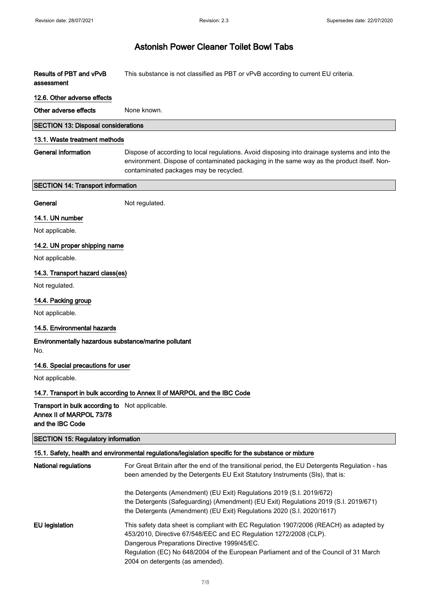| <b>Results of PBT and vPvB</b><br>assessment                                                          | This substance is not classified as PBT or vPvB according to current EU criteria.                                                                                                                                                                                                                                                        |
|-------------------------------------------------------------------------------------------------------|------------------------------------------------------------------------------------------------------------------------------------------------------------------------------------------------------------------------------------------------------------------------------------------------------------------------------------------|
| 12.6. Other adverse effects                                                                           |                                                                                                                                                                                                                                                                                                                                          |
| Other adverse effects                                                                                 | None known.                                                                                                                                                                                                                                                                                                                              |
| <b>SECTION 13: Disposal considerations</b>                                                            |                                                                                                                                                                                                                                                                                                                                          |
| 13.1. Waste treatment methods                                                                         |                                                                                                                                                                                                                                                                                                                                          |
| <b>General information</b>                                                                            | Dispose of according to local regulations. Avoid disposing into drainage systems and into the<br>environment. Dispose of contaminated packaging in the same way as the product itself. Non-<br>contaminated packages may be recycled.                                                                                                    |
| <b>SECTION 14: Transport information</b>                                                              |                                                                                                                                                                                                                                                                                                                                          |
| General                                                                                               | Not regulated.                                                                                                                                                                                                                                                                                                                           |
| 14.1. UN number                                                                                       |                                                                                                                                                                                                                                                                                                                                          |
| Not applicable.                                                                                       |                                                                                                                                                                                                                                                                                                                                          |
| 14.2. UN proper shipping name                                                                         |                                                                                                                                                                                                                                                                                                                                          |
| Not applicable.                                                                                       |                                                                                                                                                                                                                                                                                                                                          |
| 14.3. Transport hazard class(es)                                                                      |                                                                                                                                                                                                                                                                                                                                          |
| Not regulated.                                                                                        |                                                                                                                                                                                                                                                                                                                                          |
| 14.4. Packing group                                                                                   |                                                                                                                                                                                                                                                                                                                                          |
| Not applicable.                                                                                       |                                                                                                                                                                                                                                                                                                                                          |
| 14.5. Environmental hazards                                                                           |                                                                                                                                                                                                                                                                                                                                          |
| Environmentally hazardous substance/marine pollutant<br>No.                                           |                                                                                                                                                                                                                                                                                                                                          |
| 14.6. Special precautions for user                                                                    |                                                                                                                                                                                                                                                                                                                                          |
| Not applicable.                                                                                       |                                                                                                                                                                                                                                                                                                                                          |
|                                                                                                       | 14.7. Transport in bulk according to Annex II of MARPOL and the IBC Code                                                                                                                                                                                                                                                                 |
| <b>Transport in bulk according to</b> Not applicable.<br>Annex II of MARPOL 73/78<br>and the IBC Code |                                                                                                                                                                                                                                                                                                                                          |
| <b>SECTION 15: Regulatory information</b>                                                             |                                                                                                                                                                                                                                                                                                                                          |
|                                                                                                       | 15.1. Safety, health and environmental regulations/legislation specific for the substance or mixture                                                                                                                                                                                                                                     |
| <b>National regulations</b>                                                                           | For Great Britain after the end of the transitional period, the EU Detergents Regulation - has<br>been amended by the Detergents EU Exit Statutory Instruments (SIs), that is:                                                                                                                                                           |
|                                                                                                       | the Detergents (Amendment) (EU Exit) Regulations 2019 (S.I. 2019/672)<br>the Detergents (Safeguarding) (Amendment) (EU Exit) Regulations 2019 (S.I. 2019/671)<br>the Detergents (Amendment) (EU Exit) Regulations 2020 (S.I. 2020/1617)                                                                                                  |
| <b>EU</b> legislation                                                                                 | This safety data sheet is compliant with EC Regulation 1907/2006 (REACH) as adapted by<br>453/2010, Directive 67/548/EEC and EC Regulation 1272/2008 (CLP).<br>Dangerous Preparations Directive 1999/45/EC.<br>Regulation (EC) No 648/2004 of the European Parliament and of the Council of 31 March<br>2004 on detergents (as amended). |